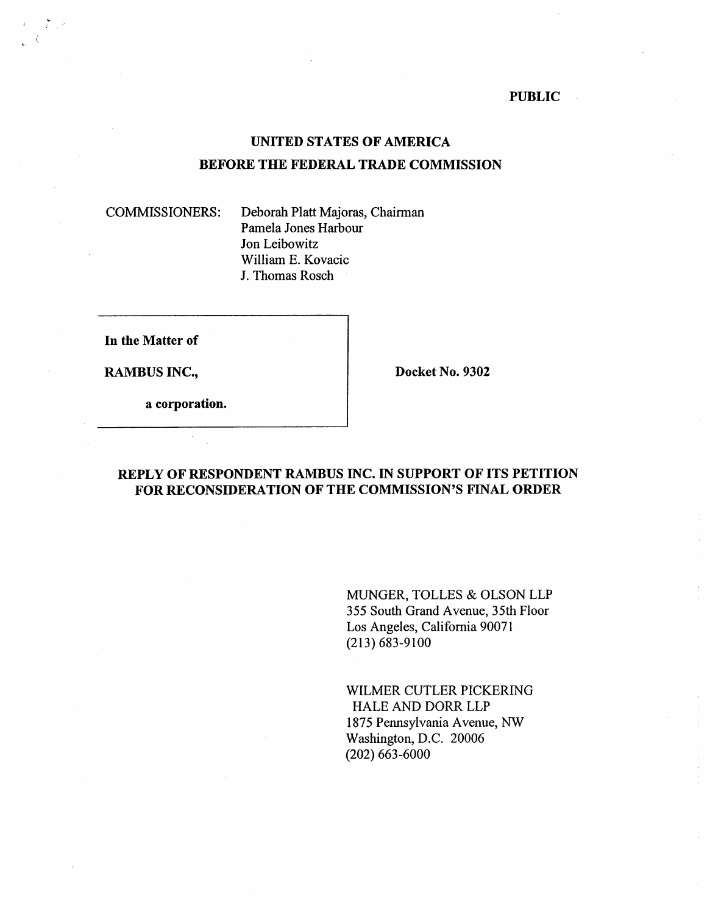**PUBLIC** 

# **UNITED STATES OF AMERICA BEFORE THE FEDERAL TRADE COMMISSION**

COMMISSIONERS: Deborah Platt Majoras, Chairman Pamela Jones Harbour Jon Leibowitz William E. Kovacic J. Thomas Rosch

**In the Matter of** 

**RAMBUS INC., Solution Docket No. 9302** 

**a corporation.** 

#### **REPLY OF RESPONDENT RAMBUS INC. IN SUPPORT OF ITS PETITION FOR RECONSIDERATION OF THE COMMISSION'S FINAL ORDER**

MUNGER, TOLLES & OLSON LLP 355 South Grand Avenue, 35th Floor Los Angeles, California 90071 (213) 683-9100

WILMER CUTLER PICKERING HALE AND DORR LLP 1875 Pennsylvania Avenue, NW Washington, D.C. 20006 (202) 663-6000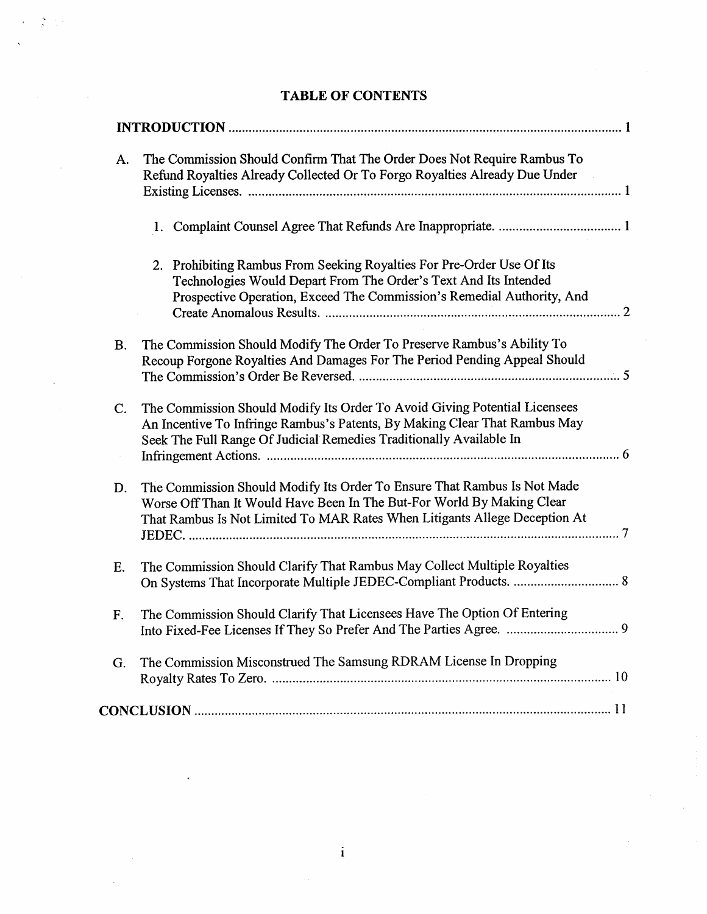| A.        | The Commission Should Confirm That The Order Does Not Require Rambus To<br>Refund Royalties Already Collected Or To Forgo Royalties Already Due Under                                                                            |
|-----------|----------------------------------------------------------------------------------------------------------------------------------------------------------------------------------------------------------------------------------|
|           |                                                                                                                                                                                                                                  |
|           | 2. Prohibiting Rambus From Seeking Royalties For Pre-Order Use Of Its<br>Technologies Would Depart From The Order's Text And Its Intended<br>Prospective Operation, Exceed The Commission's Remedial Authority, And              |
| <b>B.</b> | The Commission Should Modify The Order To Preserve Rambus's Ability To<br>Recoup Forgone Royalties And Damages For The Period Pending Appeal Should                                                                              |
| C.        | The Commission Should Modify Its Order To Avoid Giving Potential Licensees<br>An Incentive To Infringe Rambus's Patents, By Making Clear That Rambus May<br>Seek The Full Range Of Judicial Remedies Traditionally Available In  |
| D.        | The Commission Should Modify Its Order To Ensure That Rambus Is Not Made<br>Worse Off Than It Would Have Been In The But-For World By Making Clear<br>That Rambus Is Not Limited To MAR Rates When Litigants Allege Deception At |
| E.        | The Commission Should Clarify That Rambus May Collect Multiple Royalties                                                                                                                                                         |
| F.        | The Commission Should Clarify That Licensees Have The Option Of Entering                                                                                                                                                         |
| G.        | The Commission Misconstrued The Samsung RDRAM License In Dropping                                                                                                                                                                |
|           |                                                                                                                                                                                                                                  |

# **TABLE OF CONTENTS**

 $\sum_{i=1}^{\infty} \frac{1}{i} \sum_{j=1}^{i} \frac{1}{j}$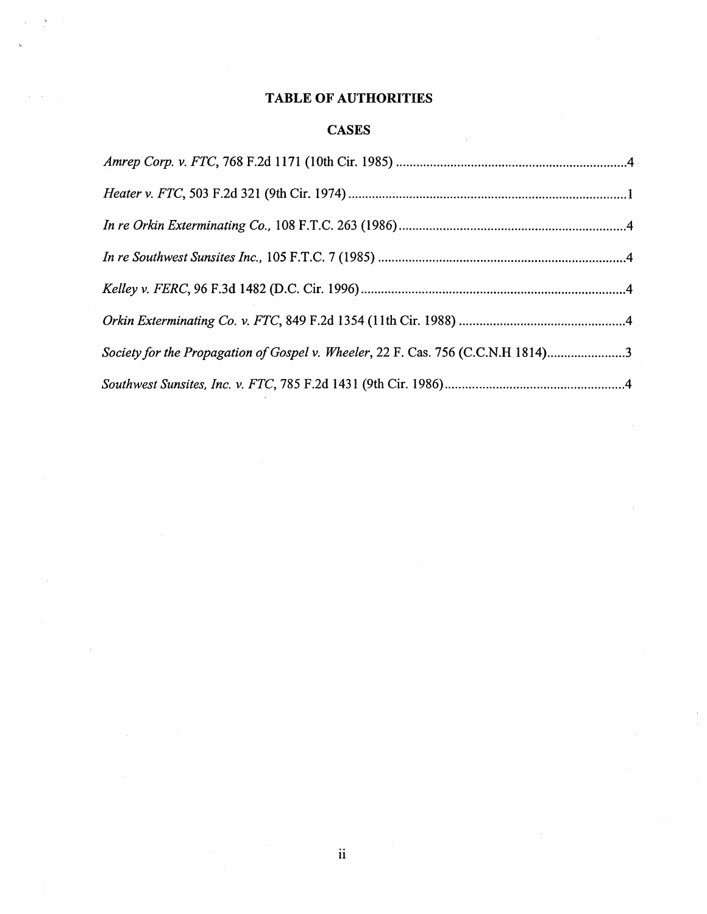# **TABLE OF AUTHORITIES**

 $\frac{1}{2}$ 

# **CASES**

| Society for the Propagation of Gospel v. Wheeler, 22 F. Cas. 756 (C.C.N.H 1814)3 |  |
|----------------------------------------------------------------------------------|--|
|                                                                                  |  |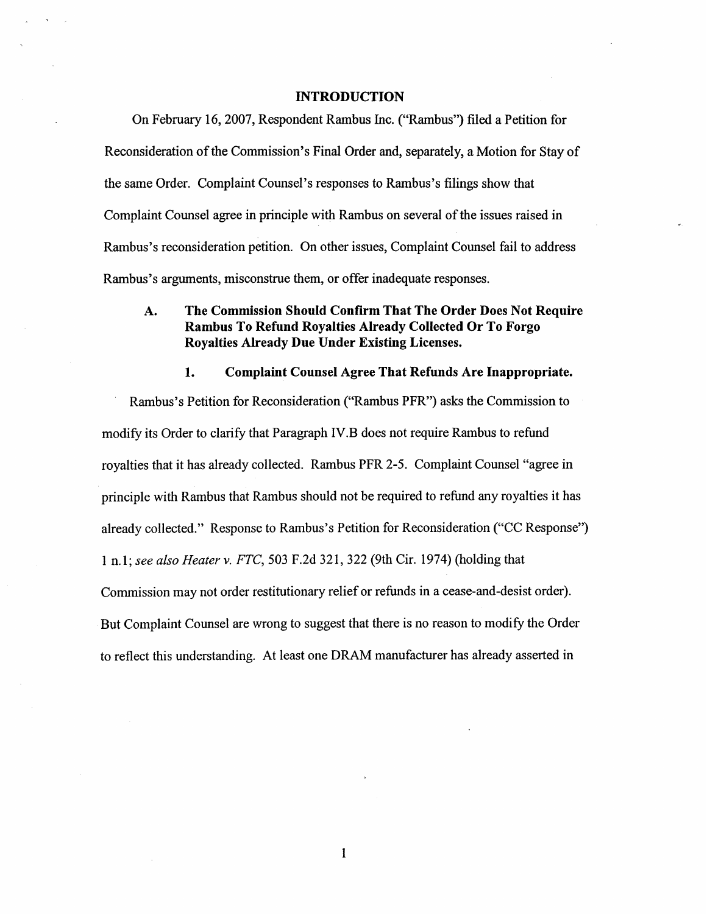#### **INTRODUCTION**

On February 16,2007, Respondent Rambus Inc. ("Rambus") filed a Petition for Reconsideration of the Commission's Final Order and, separately, a Motion for Stay of the same Order. Complaint Counsel's responses to Rambus's filings show that Complaint Counsel agree in principle with Rambus on several of the issues raised in Rambus's reconsideration petition. On other issues, Complaint Counsel fail to address Rambus's arguments, misconstrue them, or offer inadequate responses.

## **A. The Commission Should Confirm That The Order Does Not Require Rambus To Refund Royalties Already Collected Or To Forgo Royalties Already Due Under Existing Licenses.**

#### **1. Complaint Counsel Agree That Refunds Are Inappropriate.**

Rambus's Petition for Reconsideration ("Rambus PFR") asks the Commission to modify its Order to clarify that Paragraph 1V.B does not require Rambus to refund royalties that it has already collected. Rambus PFR *2-5.* Complaint Counsel "agree in principle with Rambus that Rambus should not be required to refund any royalties it has already collected." Response to Rambus's Petition for Reconsideration ("CC Response") 1 n. 1 ;*see also Heater* **v.** *FTC,* 503 F.2d 32 1, 322 (9th Cir. 1974) (holding that Commission may not order restitutionary relief or refunds in a cease-and-desist order). But Complaint Counsel are wrong to suggest that there is no reason to modify the Order to reflect this understanding. At least one DRAM manufacturer has already asserted in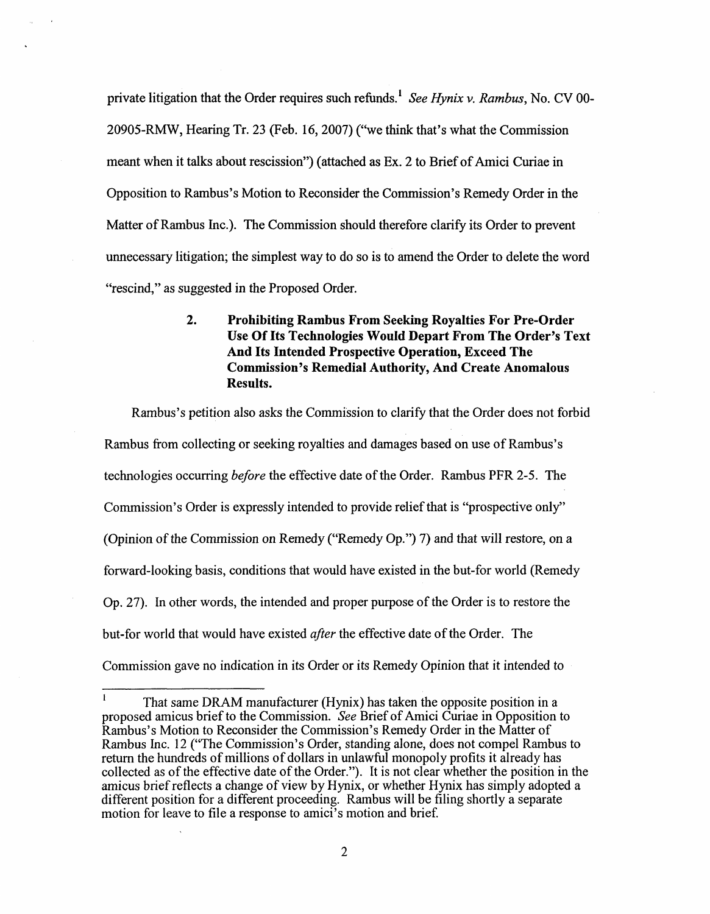private litigation that the Order requires such refunds.<sup>1</sup> See Hynix v. *Rambus*, No. CV 00-20905-RMW, Hearing Tr. 23 (Feb. 16,2007) ("we think that's what the Commission meant when it talks about rescission") (attached as Ex. 2 to Brief of Amici Curiae in Opposition to Rambus's Motion to Reconsider the Commission's Remedy Order in the Matter of Rambus Inc.). The Commission should therefore clarify its Order to prevent unnecessary litigation; the simplest way to do so is to amend the Order to delete the word "rescind," as suggested in the Proposed Order.

> **2. Prohibiting Rambus From Seeking Royalties For Pre-Order Use Of Its Technologies Would Depart From The Order's Text And Its Intended Prospective Operation, Exceed The Commission's Remedial Authority, And Create Anomalous Results.**

Rambus's petition also asks the Commission to clarify that the Order does not forbid Rambus from collecting or seeking royalties and damages based on use of Rambus's technologies occurring *before* the effective date of the Order. Rambus PFR 2-5. The Commission's Order is expressly intended to provide relief that is "prospective only" (Opinion of the Commission on Remedy ("Remedy Op.") 7) and that will restore, on a forward-looking basis, conditions that would have existed in the but-for world (Remedy Op. 27). In other words, the intended and proper purpose of the Order is to restore the but-for world that would have existed after the effective date of the Order. The Commission gave no indication in its Order or its Remedy Opinion that it intended to

That same DRAM manufacturer (Hynix) has taken the opposite position in a proposed amicus brief to the Commission. *See* Brief of Amici Curiae in Opposition to Rambus's Motion to Reconsider the Commission's Remedy Order in the Matter of Rambus Inc. 12 ("The Commission's Order, standing alone, does not compel Rambus to return the hundreds of millions of dollars in unlawful monopoly profits it already has collected as of the effective date of the Order."). It is not clear whether the position in the amicus brief reflects a change of view by Hynix, or whether Hynix has simply adopted a different position for a different proceeding. Rambus will be filing shortly a separate motion for leave to file a response to amici's motion and brief. **1**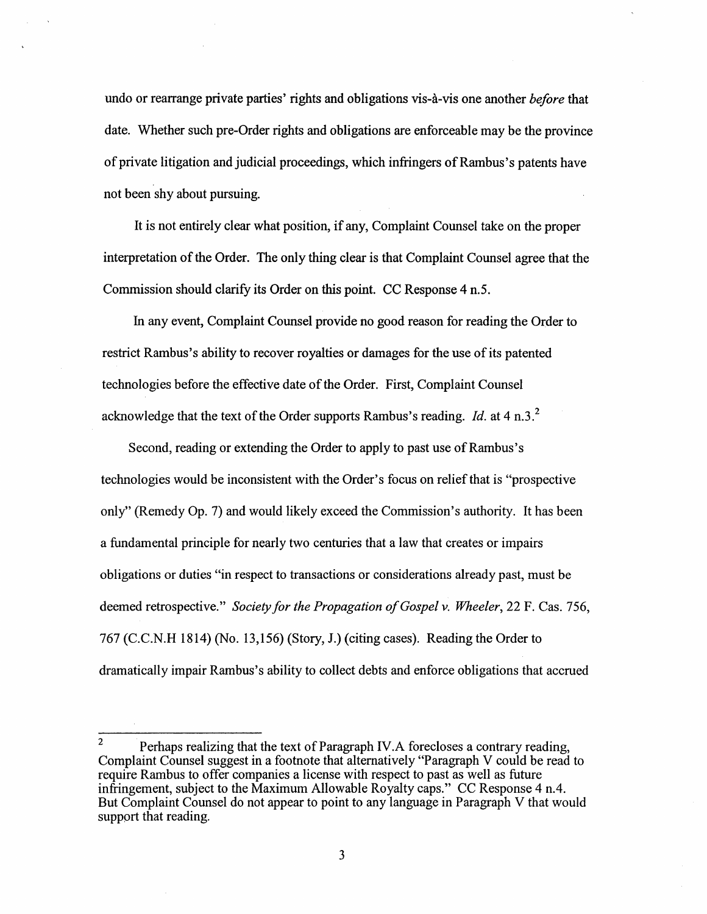undo or rearrange private parties' rights and obligations vis-à-vis one another *before* that date. Whether such pre-Order rights and obligations are enforceable may be the province of private litigation and judicial proceedings, which infringers of Rambus's patents have not been shy about pursuing.

It is not entirely clear what position, if any, Complaint Counsel take on the proper interpretation of the Order. The only thing clear is that Complaint Counsel agree that the Commission should clarify its Order on this point. CC Response 4 n.5.

In any event, Complaint Counsel provide no good reason for reading the Order to restrict Rarnbus's ability to recover royalties or damages for the use of its patented technologies before the effective date of the Order. First, Complaint Counsel acknowledge that the text of the Order supports Rambus's reading. Id. at 4 n.3.<sup>2</sup>

Second, reading or extending the Order to apply to past use of Rambus's technologies would be inconsistent with the Order's focus on relief that is "prospective only" (Remedy Op. 7) and would likely exceed the Commission's authority. It has been a fundamental principle for nearly two centuries that a law that creates or impairs obligations or duties "in respect to transactions or considerations already past, must be deemed retrospective." Society for the Propagation of Gospel v. Wheeler, 22 F. Cas. 756, 767 (C.C.N.H 1814) (No. 13,156) (Story, J.) (citing cases). Reading the Order to dramatically impair Rambus's ability to collect debts and enforce obligations that accrued

Perhaps realizing that the text of Paragraph 1V.A forecloses a contrary reading, Complaint Counsel suggest in a footnote that alternatively "Paragraph V could be read to require Rambus to offer companies a license with respect to past as well as future infringement, subject to the Maximum Allowable Royalty caps." CC Response 4 n.4. But Complaint Counsel do not appear to point to any language in Paragraph V that would support that reading. 2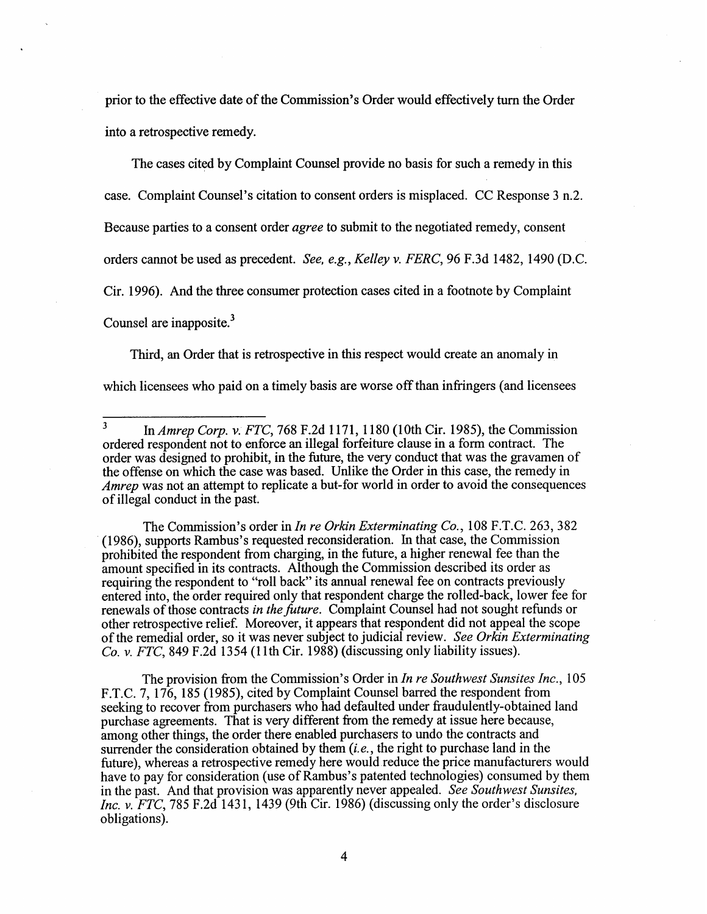prior to the effective date of the Commission's Order would effectively turn the Order into a retrospective remedy.

The cases cited by Complaint Counsel provide no basis for such a remedy in this case. Complaint Counsel's citation to consent orders is misplaced. CC Response 3 n.2. Because parties to a consent order agree to submit to the negotiated remedy, consent orders cannot be used **as** precedent. See, *e.g.,*Kelley v. FERC, 96 F.3d 1482, 1490 (D.C. Cir. 1996). And the three consumer protection cases cited in a footnote by Complaint Counsel are inapposite.<sup>3</sup>

Third, an Order that is retrospective in this respect would create an anomaly in which licensees who paid on a timely basis are worse off than infringers (and licensees

The Commission's order in *In re Orkin Exterminating Co.*, 108 F.T.C. 263, 382 (1 986), supports Rambus's requested reconsideration. In that case, the Commission prohibited the respondent from charging, in the future, a higher renewal fee than the amount specified in its contracts. Although the Commission described its order as requiring the respondent to "roll back" its annual renewal fee on contracts previously entered into, the order required only that respondent charge the rolled-back, lower fee for renewals of those contracts in the future. Complaint Counsel had not sought refunds or other retrospective relief. Moreover, it appears that respondent did not appeal the scope of the remedial order, so it was never subject to judicial review. See Orkin Exterminating Co. v. FTC, 849 F.2d 1354 (11th Cir. 1988) (discussing only liability issues).

The provision from the Commission's Order in *In re Southwest Sunsites Inc.*, 105 F.T.C. 7, 176, 185 (1985), cited by Complaint Counsel barred the respondent from seeking to recover from purchasers who had defaulted under fraudulently-obtained land purchase agreements. That is very different fiom the remedy at issue here because, among other things, the order there enabled purchasers to undo the contracts and surrender the consideration obtained by them (*i.e.*, the right to purchase land in the future), whereas a retrospective remedy here would reduce the price manufacturers would have to pay for consideration (use of Rambus's patented technologies) consumed by them in the past. And that provision was apparently never appealed. See Southwest Sunsites. Inc. v.  $FTC$ , 785 F.2d 1431, 1439 (9th Cir. 1986) (discussing only the order's disclosure obligations).

<sup>3</sup> In Amrep Corp. v. FTC, 768 F.2d 1 171, 1 180 (1 0th Cir. 1985), the Commission ordered respondent not to enforce an illegal forfeiture clause in a form contract. The order was designed to prohibit, in the future, the very conduct that was the gravamen of the offense on which the case was based. Unlike the Order in this case, the remedy in Amrep was not an attempt to replicate a but-for world in order to avoid the consequences of illegal conduct in the past.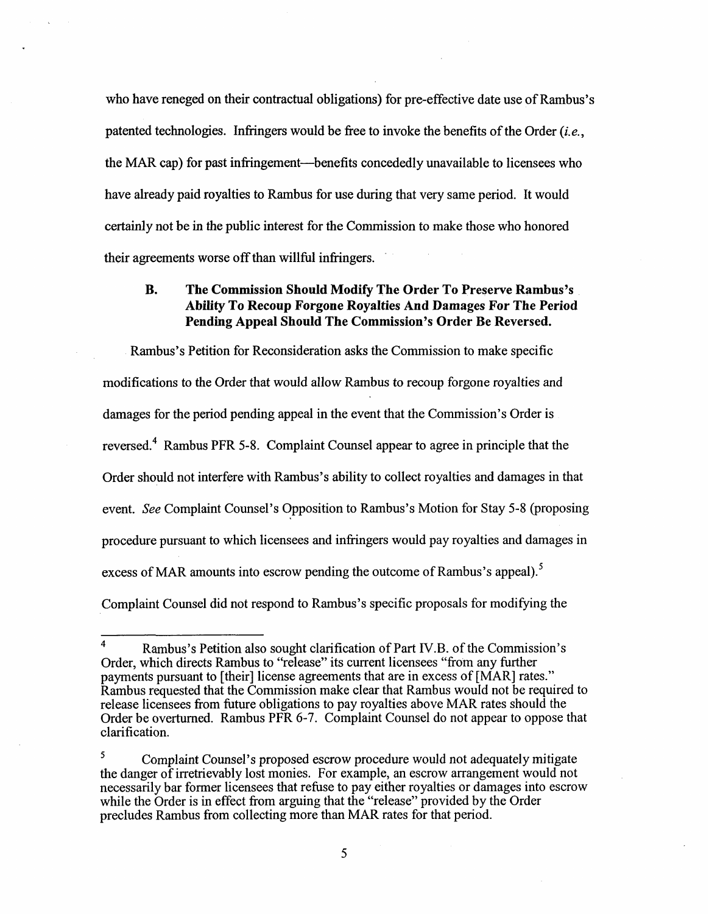who have reneged on their contractual obligations) for pre-effective date use of Rambus's patented technologies. Infringers would be free to invoke the benefits of the Order *(i.e.,*  the MAR cap) for past infringement—benefits concededly unavailable to licensees who have already paid royalties to Rambus for use during that very same period. It would certainly not be in the public interest for the Commission to make those who honored their agreements worse off than willful infringers.

#### **B. The Commission Should Modify The Order To Preserve Rambus's Ability To Recoup Forgone Royalties And Damages For The Period Pending Appeal Should The Commission's Order Be Reversed.**

Rambus's Petition for Reconsideration asks the Commission to make specific modifications to the Order that would allow Rambus to recoup forgone royalties and damages for the period pending appeal in the event that the Commission's Order is reversed.<sup>4</sup> Rambus PFR 5-8. Complaint Counsel appear to agree in principle that the Order should not interfere with Rambus's ability to collect royalties and damages in that event. *See* Complaint Counsel's Opposition to Rambus's Motion for Stay 5-8 (proposing procedure pursuant to which licensees and infringers would pay royalties and damages in excess of MAR amounts into escrow pending the outcome of Rambus's appeal).<sup>5</sup> Complaint Counsel did not respond to Rarnbus's specific proposals for modifying the

<sup>&</sup>lt;sup>4</sup> Rambus's Petition also sought clarification of Part IV.B. of the Commission's Order, which directs Rambus to "release" its current licensees "fiom any further payments pursuant to [their] license agreements that are in excess of [MAR] rates." Rambus requested that the Commission make clear that Rambus would not be required to release licensees from future obligations to pay royalties above MAR rates should the Order be overturned. Rambus PFR 6-7. Complaint Counsel do not appear to oppose that clarification.

**<sup>5</sup>**Complaint Counsel's proposed escrow procedure would not adequately mitigate the danger of irretrievably lost monies. For example, an escrow arrangement would not necessarily bar former licensees that refuse to pay either royalties or damages into escrow while the Order is in effect from arguing that the "release" provided by the Order precludes Rambus from collecting more than MAR rates for that period.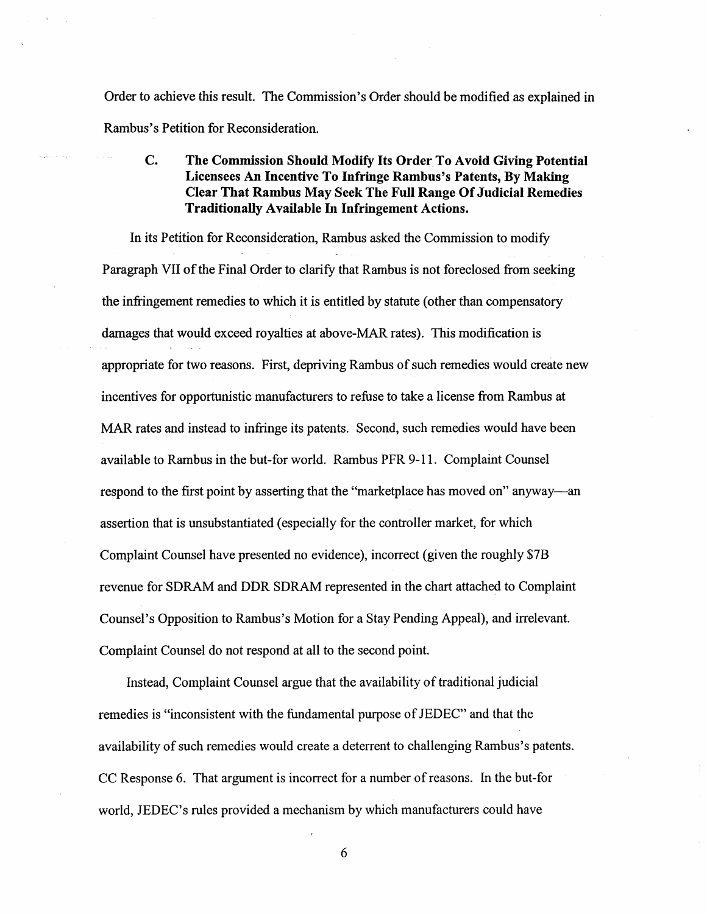Order to achieve this result. The Commission's Order should be modified as explained in Rambus's Petition for Reconsideration.

## **C. The Commission Should Modify Its Order To Avoid Giving Potential Licensees An Incentive To Infringe Rambus's Patents, By Making Clear That Rambus May Seek The Full Range Of Judicial Remedies Traditionally Available In Infringement Actions.**

In its Petition for Reconsideration, Rambus asked the Commission to modify Paragraph VII of the Final Order to clarify that Rambus is not foreclosed from seeking the infringement remedies to which it is entitled by statute (other than compensatory damages that would exceed royalties at above-MAR rates). This modification is appropriate for two reasons. First, depriving Rambus of such remedies would create new incentives for opportunistic manufacturers to refuse to take a license from Rambus at MAR rates and instead to infringe its patents. Second, such remedies would have been available to Rambus in the but-for world. Rambus PFR 9-11. Complaint Counsel respond to the first point by asserting that the "marketplace has moved on" anyway-an assertion that is unsubstantiated (especially for the controller market, for which Complaint Counsel have presented no evidence), incorrect (given the roughly \$7B revenue for SDRAM and DDR SDRAM represented in the chart attached to Complaint Counsel's Opposition to Rambus's Motion for a Stay Pending Appeal), and irrelevant. Complaint Counsel do not respond at all to the second point.

Instead, Complaint Counsel argue that the availability of traditional judicial remedies is "inconsistent with the fundamental purpose of JEDEC" and that the availability of such remedies would create a deterrent to challenging Rambus's patents. CC Response 6. That argument is incorrect for a number of reasons. In the but-for world, JEDEC's rules provided a mechanism by which manufacturers could have

6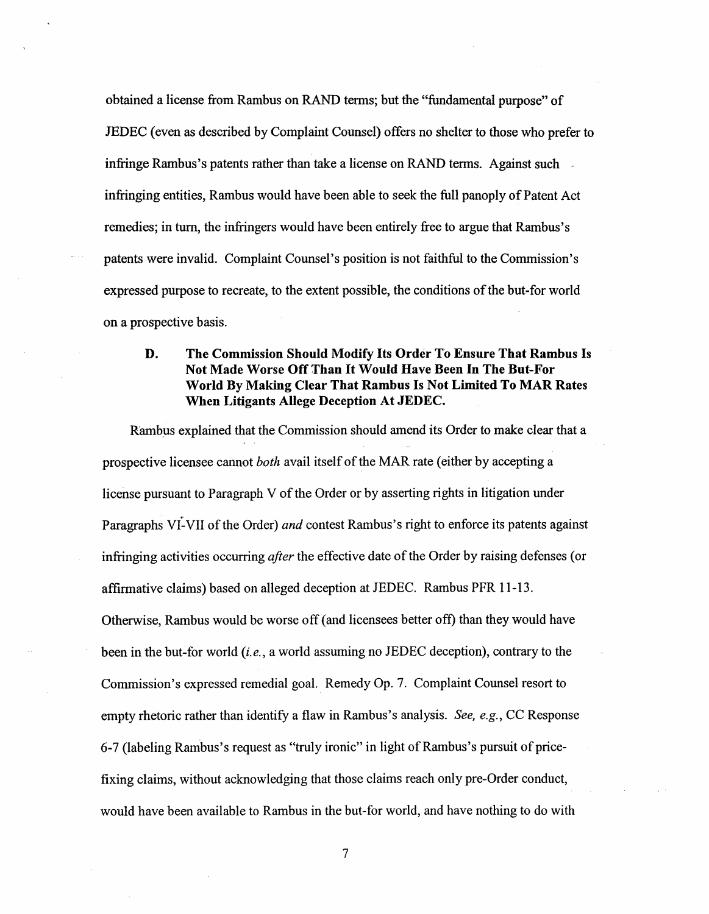obtained a license fiom Rambus on RAND terms; but the "fundamental purpose" of JEDEC (even **as** described by Complaint Counsel) offers no shelter to those who prefer to infringe Rambus's patents rather than take a license on RAND terms. Against such infringing entities, Rambus would have been able to seek the full panoply of Patent Act remedies; in turn, the infringers would have been entirely fiee to argue that Rambus's patents were invalid. Complaint Counsel's position is not faithful to the Commission's expressed purpose to recreate, to the extent possible, the conditions of the but-for world on a prospective basis.

### **D. The Commission Should Modify Its Order To Ensure That Rambus Is Not Made Worse Off Than It Would Have Been In The But-For World By Making Clear That Rambus Is Not Limited To MAR Rates When Litigants Allege Deception At JEDEC.**

Rambys explained that the Commission should amend its Order to make clear that a prospective licensee cannot *both* avail itself of the MAR rate (either by accepting a license pursuant to Paragraph V of the Order or by asserting rights in litigation under Paragraphs VI-VII of the Order) and contest Rambus's right to enforce its patents against infringing activities occurring *after* the effective date of the Order by raising defenses (or affirmative claims) based on alleged deception at JEDEC. Rambus PFR 1 1 -13. Otherwise, Rambus would be worse off (and licensees better off) than they would have been in the but-for world *(i.e.,*a world assuming no JEDEC deception), contrary to the Commission's expressed remedial goal. Remedy Op. 7. Complaint Counsel resort to empty rhetoric rather than identify a flaw in Rambus's analysis. See, e.g., CC Response 6-7 (labeling Rambus's request as "truly ironic" in light of Rambus's pursuit of pricefixing claims, without acknowledging that those claims reach only pre-Order conduct, would have been available to Rambus in the but-for world, and have nothing to do with

 $\overline{7}$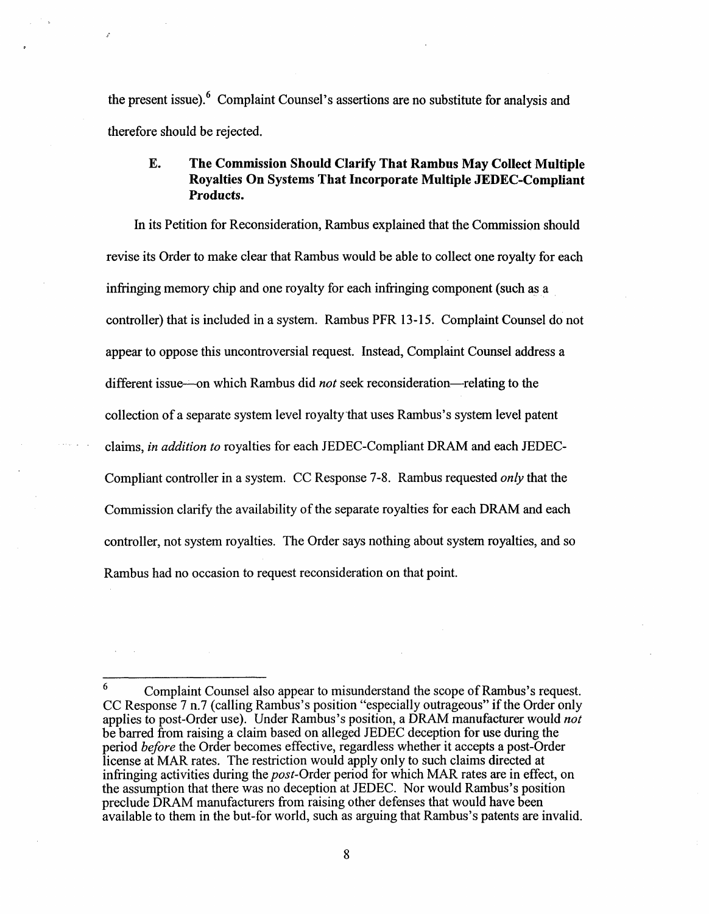the present issue).  $6$  Complaint Counsel's assertions are no substitute for analysis and therefore should be rejected.

#### **E. The Commission Should Clarify That Rambus May Collect Multiple Royalties On Systems That Incorporate Multiple JEDEC-Compliant Products.**

In its Petition for Reconsideration, Rambus explained that the Commission should revise its Order to make clear that Rambus would be able to collect one royalty for each infringing memory chip and one royalty for each infringing component (such **as** a controller) that is included in a system. Rambus PFR 13-1 5. Complaint Counsel do not appear to oppose this uncontroversial request. Instead, Complaint Counsel address a different issue—on which Rambus did *not* seek reconsideration—relating to the collection of a separate system level royalty-that uses Rambus's system level patent claims, in addition to royalties for each JEDEC-Compliant DRAM and each JEDEC-Compliant controller in a system. CC Response 7-8. Rambus requested only that the Commission clarify the availability of the separate royalties for each DRAM and each controller, not system royalties. The Order says nothing about system royalties, and so Rambus had no occasion to request reconsideration on that point.

Complaint Counsel also appear to misunderstand the scope of Rambus's request. CC Response 7 n.7 (calling Rambus's position "especially outrageous" if the Order only applies to post-Order use). Under Rambus's position, a DRAM manufacturer would *not*  be barred fiom raising a claim based on alleged JEDEC deception for use during the period before the Order becomes effective, regardless whether it accepts a post-Order license at MAR rates. The restriction would apply only to such claims directed at infringing activities during the *post*-Order period for which MAR rates are in effect, on the assumption that there was no deception at JEDEC. Nor would Rambus's position preclude DRAM manufacturers fiom raising other defenses that would have been available to them in the but-for world, such as arguing that Rambus's patents are invalid. **6**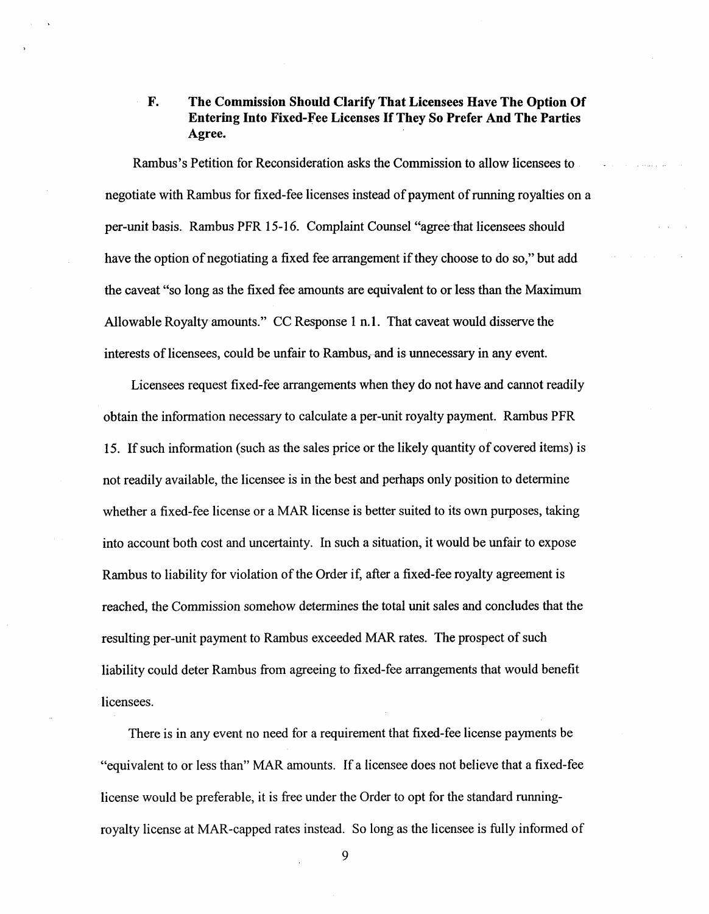### **F. The Commission Should Clarify That Licensees Have The Option Of Entering Into Fixed-Fee Licenses If They So Prefer And The Parties Agree.**

Rambus's Petition for Reconsideration asks the Commission to allow licensees to negotiate with Rambus for fixed-fee licenses instead of payment of running royalties on a per-unit basis. Rambus PFR 15-1 6. Complaint Counsel "agree-that licensees should have the option of negotiating a fixed fee arrangement if they choose to do so," but add the caveat "so long as the fixed fee amounts are equivalent to or less than the Maximum Allowable Royalty amounts." CC Response 1 n.**1.** That caveat would disserve the interests of licensees, could be unfair to Rambus, and is unnecessary in any event.

Licensees request fixed-fee arrangements when they do not have and cannot readily obtain the information necessary to calculate a per-unit royalty payment. Rambus PFR **15.** If such information (such as the sales price or the likely quantity of covered items) is not readily available, the licensee is in the best and perhaps only position to determine whether a fixed-fee license or a MAR license is better suited to its own purposes, taking into account both cost and uncertainty. In such a situation, it would be unfair to expose Rambus to liability for violation of the Order if, after a fixed-fee royalty agreement is reached, the Commission somehow determines the total unit sales and concludes that the resulting per-unit payment to Rambus exceeded MAR rates. The prospect of such liability could deter Rambus from agreeing to fixed-fee arrangements that would benefit licensees.

There is in any event no need for a requirement that fixed-fee license payments be "equivalent to or less than" MAR amounts. If a licensee does not believe that a fixed-fee license would be preferable, it is free under the Order to opt for the standard runningroyalty license at MAR-capped rates instead. So long as the licensee is fully informed of

9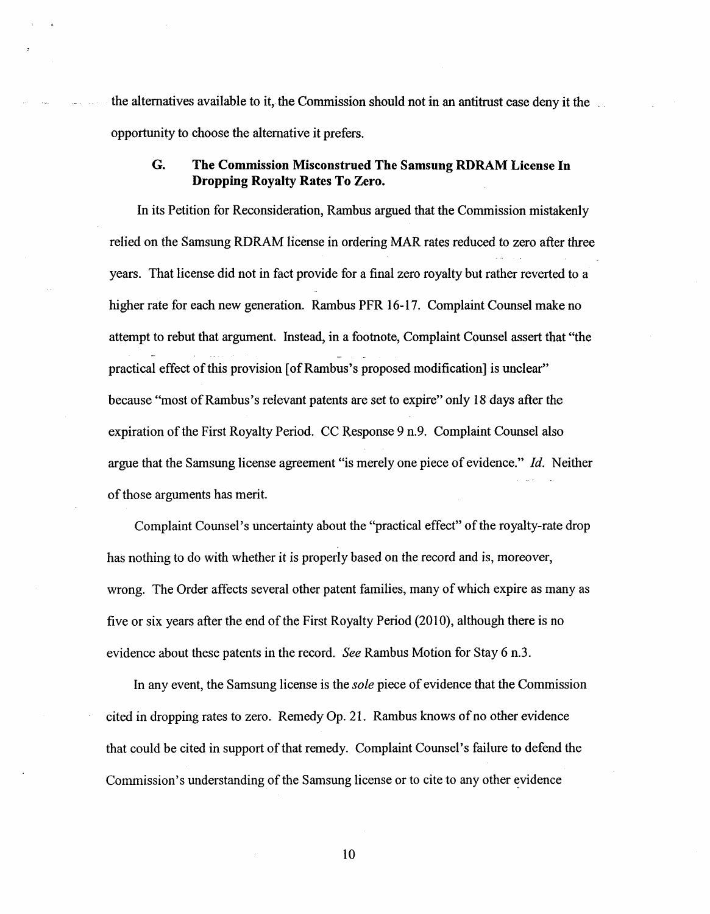the alternatives available to it, the Commission should not in an antitrust case deny it the opportunity to choose the alternative it prefers.

#### *G.*  **The Commission Misconstrued The Samsung RDRAM License In Dropping Royalty Rates To Zero.**

- - In its Petition for Reconsideration, Rambus argued that the Commission mistakenly relied on the Samsung RDRAM license in ordering MAR rates reduced to zero after three years. That license did not in fact provide for a final zero royalty but rather reverted to a higher rate for each new generation. Rambus PFR 16-17. Complaint Counsel make no attempt to rebut that argument. Instead, in a footnote, Complaint Counsel assert that "the practical effect of this provision [of Rambus's proposed modification] is unclear" because "most of Rarnbus's relevant patents are set to expire" only 18 days after the expiration of the First Royalty Period. CC Response 9 n.9. Complaint Counsel also argue that the Samsung license agreement "is merely one piece of evidence." Id. Neither of those arguments has merit.

Complaint Counsel's uncertainty about the "practical effect" of the royalty-rate drop has nothing to do with whether it is properly based on the record and is, moreover, wrong. The Order affects several other patent families, many of which expire as many as five or six years after the end of the First Royalty Period (2010), although there is no evidence about these patents in the record. See Rambus Motion for Stay 6 n.3.

In any event, the Samsung license is the *sole* piece of evidence that the Commission cited in dropping rates to zero. Remedy Op. 21. Rambus knows of no other evidence that could be cited in support of that remedy. Complaint Counsel's failure to defend the Commission's understanding of the Samsung license or to cite to any other evidence

10